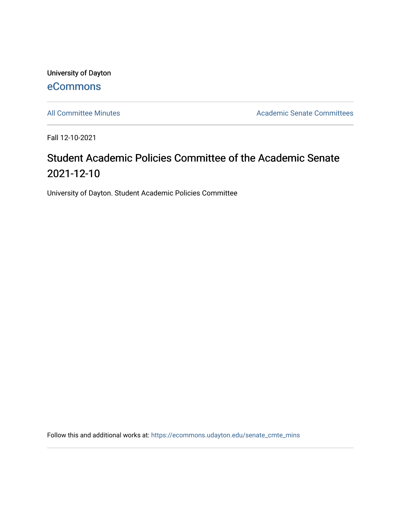University of Dayton [eCommons](https://ecommons.udayton.edu/)

[All Committee Minutes](https://ecommons.udayton.edu/senate_cmte_mins) **Academic Senate Committees** 

Fall 12-10-2021

## Student Academic Policies Committee of the Academic Senate 2021-12-10

University of Dayton. Student Academic Policies Committee

Follow this and additional works at: [https://ecommons.udayton.edu/senate\\_cmte\\_mins](https://ecommons.udayton.edu/senate_cmte_mins?utm_source=ecommons.udayton.edu%2Fsenate_cmte_mins%2F472&utm_medium=PDF&utm_campaign=PDFCoverPages)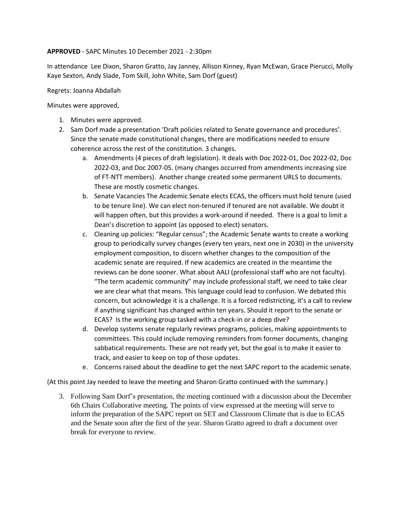## **APPROVED** - SAPC Minutes 10 December 2021 - 2:30pm

In attendance Lee Dixon, Sharon Gratto, Jay Janney, Allison Kinney, Ryan McEwan, Grace Pierucci, Molly Kaye Sexton, Andy Slade, Tom Skill, John White, Sam Dorf (guest)

Regrets: Joanna Abdallah

Minutes were approved,

- 1. Minutes were approved.
- 2. Sam Dorf made a presentation 'Draft policies related to Senate governance and procedures'. Since the senate made constitutional changes, there are modifications needed to ensure coherence across the rest of the constitution. 3 changes.
	- a. Amendments (4 pieces of draft legislation). It deals with Doc 2022-01, Doc 2022-02, Doc 2022-03, and Doc 2007-05. (many changes occurred from amendments increasing size of FT-NTT members). Another change created some permanent URLS to documents. These are mostly cosmetic changes.
	- b. Senate Vacancies The Academic Senate elects ECAS, the officers must hold tenure (used to be tenure line). We can elect non-tenured if tenured are not available. We doubt it will happen often, but this provides a work-around if needed. There is a goal to limit a Dean's discretion to appoint (as opposed to elect) senators.
	- c. Cleaning up policies: "Regular census"; the Academic Senate wants to create a working group to periodically survey changes (every ten years, next one in 2030) in the university employment composition, to discern whether changes to the composition of the academic senate are required. If new academics are created in the meantime the reviews can be done sooner. What about AALI (professional staff who are not faculty). "The term academic community" may include professional staff, we need to take clear we are clear what that means. This language could lead to confusion. We debated this concern, but acknowledge it is a challenge. It is a forced redistricting, it's a call to review if anything significant has changed within ten years. Should it report to the senate or ECAS? Is the working group tasked with a check-in or a deep dive?
	- d. Develop systems senate regularly reviews programs, policies, making appointments to committees. This could include removing reminders from former documents, changing sabbatical requirements. These are not ready yet, but the goal is to make it easier to track, and easier to keep on top of those updates.
	- e. Concerns raised about the deadline to get the next SAPC report to the academic senate.

(At this point Jay needed to leave the meeting and Sharon Gratto continued with the summary.)

3. Following Sam Dorf's presentation, the meeting continued with a discussion about the December 6th Chairs Collaborative meeting. The points of view expressed at the meeting will serve to inform the preparation of the SAPC report on SET and Classroom Climate that is due to ECAS and the Senate soon after the first of the year. Sharon Gratto agreed to draft a document over break for everyone to review.